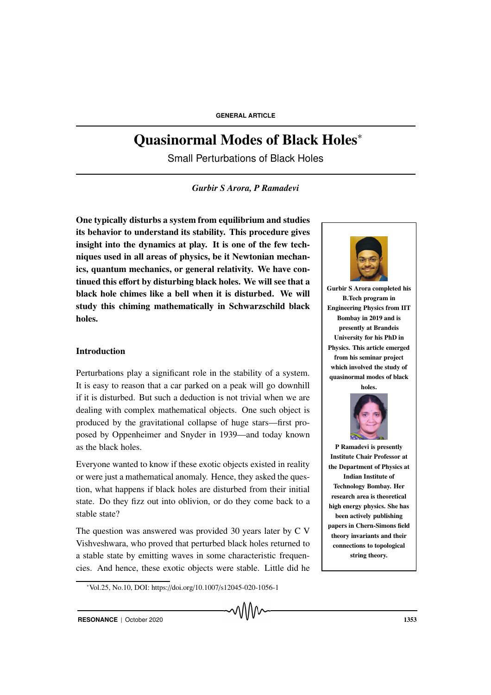# Quasinormal Modes of Black Holes<sup>∗</sup>

Small Perturbations of Black Holes

*Gurbir S Arora, P Ramadevi*

One typically disturbs a system from equilibrium and studies its behavior to understand its stability. This procedure gives insight into the dynamics at play. It is one of the few techniques used in all areas of physics, be it Newtonian mechanics, quantum mechanics, or general relativity. We have continued this effort by disturbing black holes. We will see that a black hole chimes like a bell when it is disturbed. We will study this chiming mathematically in Schwarzschild black holes.

# Introduction

Perturbations play a significant role in the stability of a system. It is easy to reason that a car parked on a peak will go downhill if it is disturbed. But such a deduction is not trivial when we are dealing with complex mathematical objects. One such object is produced by the gravitational collapse of huge stars—first proposed by Oppenheimer and Snyder in 1939—and today known as the black holes.

Everyone wanted to know if these exotic objects existed in reality or were just a mathematical anomaly. Hence, they asked the question, what happens if black holes are disturbed from their initial state. Do they fizz out into oblivion, or do they come back to a stable state?

The question was answered was provided 30 years later by C V Vishveshwara, who proved that perturbed black holes returned to a stable state by emitting waves in some characteristic frequencies. And hence, these exotic objects were stable. Little did he



Gurbir S Arora completed his B.Tech program in Engineering Physics from IIT Bombay in 2019 and is presently at Brandeis University for his PhD in Physics. This article emerged from his seminar project which involved the study of quasinormal modes of black holes.



P Ramadevi is presently Institute Chair Professor at the Department of Physics at Indian Institute of Technology Bombay. Her research area is theoretical high energy physics. She has been actively publishing papers in Chern-Simons field theory invariants and their connections to topological string theory.

<sup>∗</sup>Vol.25, No.10, DOI: https://doi.org/10.1007/s12045-020-1056-1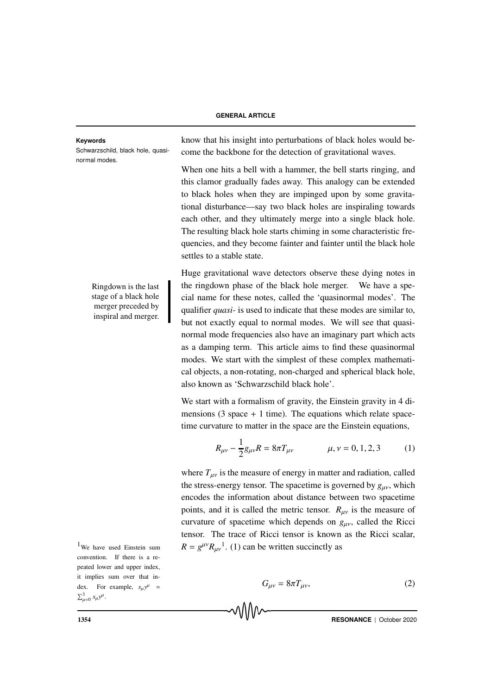Schwarzschild, black hole, quasinormal modes.

> stage of a black hole merger preceded by inspiral and merger.

 $1$ We have used Einstein sum convention. If there is a repeated lower and upper index, it implies sum over that index. For example,  $x_{\mu}y^{\mu}$  =  $\sum_{\mu=0}^{3} x_{\mu} y^{\mu}$ .

**Keywords** know that his insight into perturbations of black holes would become the backbone for the detection of gravitational waves.

> When one hits a bell with a hammer, the bell starts ringing, and this clamor gradually fades away. This analogy can be extended to black holes when they are impinged upon by some gravitational disturbance—say two black holes are inspiraling towards each other, and they ultimately merge into a single black hole. The resulting black hole starts chiming in some characteristic frequencies, and they become fainter and fainter until the black hole settles to a stable state.

Huge gravitational wave detectors observe these dying notes in Ringdown is the last  $\parallel$  the ringdown phase of the black hole merger. We have a special name for these notes, called the 'quasinormal modes'. The qualifier *quasi-* is used to indicate that these modes are similar to, but not exactly equal to normal modes. We will see that quasinormal mode frequencies also have an imaginary part which acts as a damping term. This article aims to find these quasinormal modes. We start with the simplest of these complex mathematical objects, a non-rotating, non-charged and spherical black hole, also known as 'Schwarzschild black hole'.

> We start with a formalism of gravity, the Einstein gravity in 4 dimensions  $(3 \text{ space } + 1 \text{ time})$ . The equations which relate spacetime curvature to matter in the space are the Einstein equations,

$$
R_{\mu\nu} - \frac{1}{2}g_{\mu\nu}R = 8\pi T_{\mu\nu} \qquad \mu, \nu = 0, 1, 2, 3 \qquad (1)
$$

where  $T_{\mu\nu}$  is the measure of energy in matter and radiation, called the stress-energy tensor. The spacetime is governed by  $g_{\mu\nu}$ , which encodes the information about distance between two spacetime points, and it is called the metric tensor.  $R_{\mu\nu}$  is the measure of curvature of spacetime which depends on *g*µν, called the Ricci tensor. The trace of Ricci tensor is known as the Ricci scalar,  $R = g^{\mu\nu} R_{\mu\nu}^{\ \ 1}$ . (1) can be written succinctly as

$$
G_{\mu\nu} = 8\pi T_{\mu\nu},\tag{2}
$$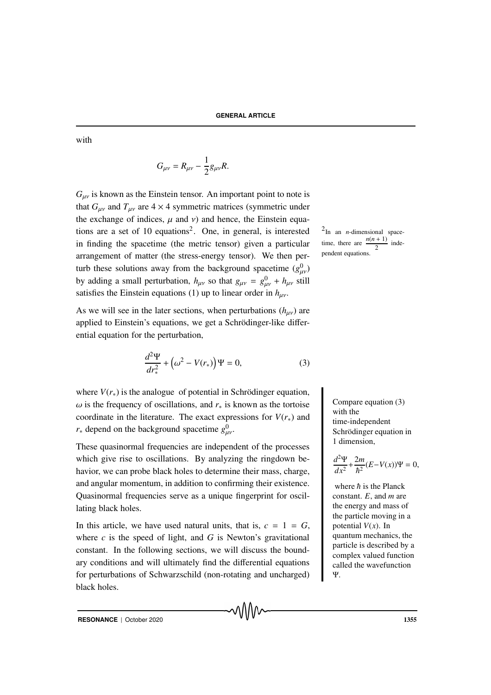with

$$
G_{\mu\nu}=R_{\mu\nu}-\frac{1}{2}g_{\mu\nu}R.
$$

 $G_{\mu\nu}$  is known as the Einstein tensor. An important point to note is that  $G_{\mu\nu}$  and  $T_{\mu\nu}$  are  $4 \times 4$  symmetric matrices (symmetric under the exchange of indices,  $\mu$  and  $\nu$ ) and hence, the Einstein equations are a set of 10 equations<sup>2</sup>. One, in general, is interested  $2$ in finding the spacetime (the metric tensor) given a particular arrangement of matter (the stress-energy tensor). We then perturb these solutions away from the background spacetime  $(g_{\mu\nu}^0)$ by adding a small perturbation,  $h_{\mu\nu}$  so that  $g_{\mu\nu} = g_{\mu\nu}^0 + h_{\mu\nu}$  still satisfies the Einstein equations (1) up to linear order in  $h_{\mu\nu}$ .

As we will see in the later sections, when perturbations  $(h_{\mu\nu})$  are applied to Einstein's equations, we get a Schrödinger-like differential equation for the perturbation,

$$
\frac{d^2\Psi}{dr_*^2} + \left(\omega^2 - V(r_*)\right)\Psi = 0,\tag{3}
$$

where  $V(r_*)$  is the analogue of potential in Schrödinger equation,  $\omega$  is the frequency of oscillations, and  $r_*$  is known as the tortoise coordinate in the literature. The exact expressions for  $V(r_*)$  and *r*<sup>∗</sup> depend on the background spacetime  $g_{\mu\nu}^0$ .

These quasinormal frequencies are independent of the processes which give rise to oscillations. By analyzing the ringdown behavior, we can probe black holes to determine their mass, charge, and angular momentum, in addition to confirming their existence. Quasinormal frequencies serve as a unique fingerprint for oscillating black holes.

In this article, we have used natural units, that is,  $c = 1 = G$ , where  $c$  is the speed of light, and  $G$  is Newton's gravitational constant. In the following sections, we will discuss the boundary conditions and will ultimately find the differential equations for perturbations of Schwarzschild (non-rotating and uncharged) black holes.

᠕᠕᠕᠕

 $2$ In an *n*-dimensional spacetime, there are  $\frac{n(n+1)}{2}$  independent equations.

> Compare equation (3) with the time-independent Schrödinger equation in 1 dimension,

$$
\frac{d^2\Psi}{dx^2} + \frac{2m}{\hbar^2}(E - V(x))\Psi = 0,
$$

where  $\hbar$  is the Planck constant. *E*, and *m* are the energy and mass of the particle moving in a potential  $V(x)$ . In quantum mechanics, the particle is described by a complex valued function called the wavefunction Ψ.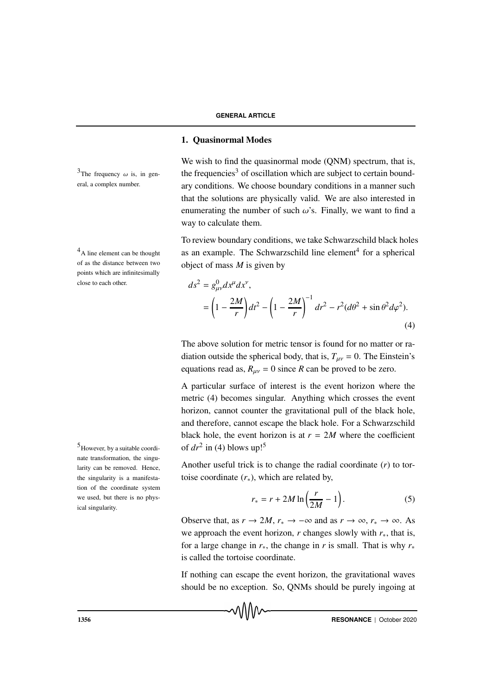# 1. Quasinormal Modes

We wish to find the quasinormal mode (ONM) spectrum, that is, the frequencies<sup>3</sup> of oscillation which are subject to certain boundary conditions. We choose boundary conditions in a manner such that the solutions are physically valid. We are also interested in enumerating the number of such  $\omega$ 's. Finally, we want to find a way to calculate them.

To review boundary conditions, we take Schwarzschild black holes  $4A$  line element can be thought as an example. The Schwarzschild line element<sup>4</sup> for a spherical object of mass *M* is given by

$$
ds^{2} = g_{\mu\nu}^{0} dx^{\mu} dx^{\nu},
$$
  
=  $\left(1 - \frac{2M}{r}\right) dt^{2} - \left(1 - \frac{2M}{r}\right)^{-1} dr^{2} - r^{2} (d\theta^{2} + \sin \theta^{2} d\varphi^{2}).$  (4)

The above solution for metric tensor is found for no matter or radiation outside the spherical body, that is,  $T_{\mu\nu} = 0$ . The Einstein's equations read as,  $R_{\mu\nu} = 0$  since *R* can be proved to be zero.

A particular surface of interest is the event horizon where the metric (4) becomes singular. Anything which crosses the event horizon, cannot counter the gravitational pull of the black hole, and therefore, cannot escape the black hole. For a Schwarzschild black hole, the event horizon is at  $r = 2M$  where the coefficient of  $dr^2$  in (4) blows up!<sup>5</sup>

Another useful trick is to change the radial coordinate (*r*) to tortoise coordinate  $(r_*)$ , which are related by,

$$
r_* = r + 2M \ln\left(\frac{r}{2M} - 1\right). \tag{5}
$$

Observe that, as  $r \to 2M$ ,  $r_* \to -\infty$  and as  $r \to \infty$ ,  $r_* \to \infty$ . As we approach the event horizon,  $r$  changes slowly with  $r<sub>*</sub>$ , that is, for a large change in  $r$ <sup>\*</sup>, the change in *r* is small. That is why  $r$ <sup>\*</sup> is called the tortoise coordinate.

If nothing can escape the event horizon, the gravitational waves should be no exception. So, QNMs should be purely ingoing at



<sup>3</sup>The frequency  $\omega$  is, in gen-<br>the frequencies<sup>3</sup> eral, a complex number.

of as the distance between two points which are infinitesimally close to each other.

 $<sup>5</sup>$  However, by a suitable coordi-</sup> nate transformation, the singularity can be removed. Hence, the singularity is a manifestation of the coordinate system we used, but there is no physical singularity.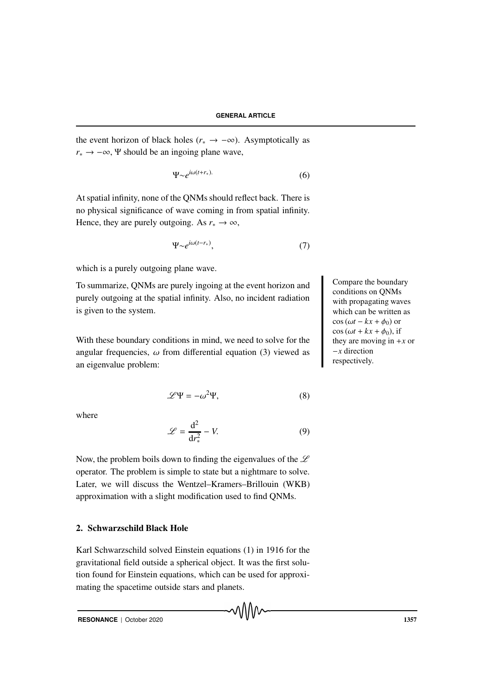the event horizon of black holes ( $r_* \rightarrow -\infty$ ). Asymptotically as  $r_* \rightarrow -\infty$ , Ψ should be an ingoing plane wave,

$$
\Psi \sim e^{i\omega(t+r_*)}.\tag{6}
$$

At spatial infinity, none of the QNMs should reflect back. There is no physical significance of wave coming in from spatial infinity. Hence, they are purely outgoing. As  $r_* \to \infty$ ,

$$
\Psi \sim e^{i\omega(t - r_*)},\tag{7}
$$

which is a purely outgoing plane wave.

To summarize, QNMs are purely ingoing at the event horizon and purely outgoing at the spatial infinity. Also, no incident radiation is given to the system.

With these boundary conditions in mind, we need to solve for the angular frequencies,  $\omega$  from differential equation (3) viewed as an eigenvalue problem:

$$
\mathcal{L}\Psi = -\omega^2\Psi,\tag{8}
$$

where

$$
\mathcal{L} = \frac{d^2}{dr_*^2} - V.
$$
 (9)

Now, the problem boils down to finding the eigenvalues of the  $\mathscr L$ operator. The problem is simple to state but a nightmare to solve. Later, we will discuss the Wentzel–Kramers–Brillouin (WKB) approximation with a slight modification used to find QNMs.

# 2. Schwarzschild Black Hole

Karl Schwarzschild solved Einstein equations (1) in 1916 for the gravitational field outside a spherical object. It was the first solution found for Einstein equations, which can be used for approximating the spacetime outside stars and planets.

Compare the boundary conditions on QNMs with propagating waves which can be written as  $\cos(\omega t - kx + \phi_0)$  or  $\cos (\omega t + kx + \phi_0)$ , if they are moving in  $+x$  or −*x* direction respectively.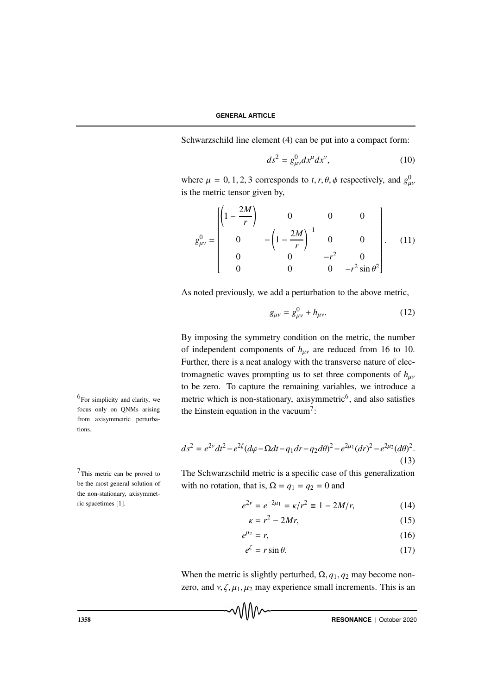Schwarzschild line element (4) can be put into a compact form:

$$
ds^2 = g^0_{\mu\nu} dx^\mu dx^\nu, \qquad (10)
$$

where  $\mu = 0, 1, 2, 3$  corresponds to *t*, *r*,  $\theta$ ,  $\phi$  respectively, and  $g_{\mu\nu}^0$ is the metric tensor given by,

$$
g_{\mu\nu}^{0} = \begin{bmatrix} \left(1 - \frac{2M}{r}\right) & 0 & 0 & 0\\ 0 & -\left(1 - \frac{2M}{r}\right)^{-1} & 0 & 0\\ 0 & 0 & -r^{2} & 0\\ 0 & 0 & 0 & -r^{2}\sin\theta^{2} \end{bmatrix}.
$$
 (11)

As noted previously, we add a perturbation to the above metric,

$$
g_{\mu\nu} = g_{\mu\nu}^0 + h_{\mu\nu}.
$$
 (12)

By imposing the symmetry condition on the metric, the number of independent components of  $h_{\mu\nu}$  are reduced from 16 to 10. Further, there is a neat analogy with the transverse nature of electromagnetic waves prompting us to set three components of  $h_{uv}$ to be zero. To capture the remaining variables, we introduce a  $^{6}$ For simplicity and clarity, we metric which is non-stationary, axisymmetric<sup>6</sup>, and also satisfies the Einstein equation in the vacuum<sup>7</sup>:

$$
ds^{2} = e^{2\nu}dt^{2} - e^{2\xi}(d\varphi - \Omega dt - q_{1}dr - q_{2}d\theta)^{2} - e^{2\mu_{1}}(dr)^{2} - e^{2\mu_{2}}(d\theta)^{2}.
$$
\n(13)

 $7$ This metric can be proved to The Schwarzschild metric is a specific case of this generalization with no rotation, that is,  $\Omega = q_1 = q_2 = 0$  and

$$
e^{2\nu} = e^{-2\mu_1} = \kappa/r^2 \equiv 1 - 2M/r,\tag{14}
$$

$$
\kappa = r^2 - 2Mr,\tag{15}
$$

$$
e^{\mu_2} = r,\tag{16}
$$

$$
e^{\zeta} = r \sin \theta. \tag{17}
$$

When the metric is slightly perturbed,  $\Omega$ ,  $q_1$ ,  $q_2$  may become nonzero, and  $v, \zeta, \mu_1, \mu_2$  may experience small increments. This is an

**THESONANCE** | October 2020

 $6$ For simplicity and clarity, we focus only on QNMs arising from axisymmetric perturbations.

This metric can be proved to be the most general solution of the non-stationary, axisymmetric spacetimes [1].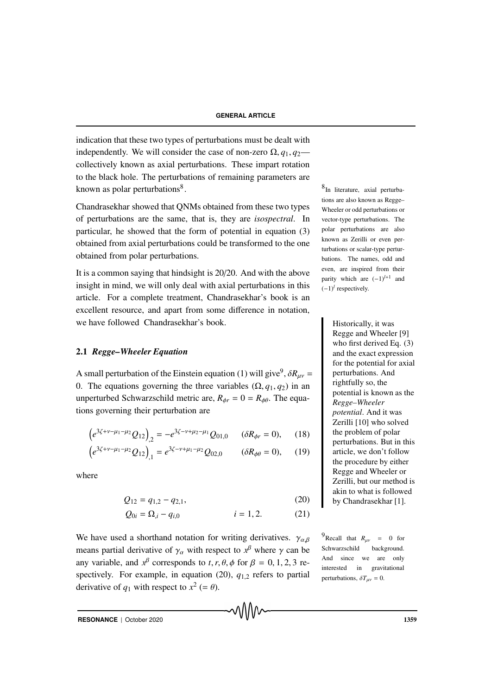indication that these two types of perturbations must be dealt with independently. We will consider the case of non-zero  $\Omega$ ,  $q_1$ ,  $q_2$  collectively known as axial perturbations. These impart rotation to the black hole. The perturbations of remaining parameters are known as polar perturbations<sup>8</sup>.  $8^8$ 

Chandrasekhar showed that QNMs obtained from these two types of perturbations are the same, that is, they are *isospectral*. In particular, he showed that the form of potential in equation (3) obtained from axial perturbations could be transformed to the one obtained from polar perturbations.

It is a common saying that hindsight is 20/20. And with the above insight in mind, we will only deal with axial perturbations in this article. For a complete treatment, Chandrasekhar's book is an excellent resource, and apart from some difference in notation, we have followed Chandrasekhar's book. Historically, it was

## 2.1 *Regge–Wheeler Equation*

A small perturbation of the Einstein equation (1) will give<sup>9</sup>,  $\delta R_{\mu\nu}$  = 0. The equations governing the three variables  $(\Omega, q_1, q_2)$  in an unperturbed Schwarzschild metric are,  $R_{\phi r} = 0 = R_{\phi \theta}$ . The equations governing their perturbation are

$$
\left(e^{3\zeta+\nu-\mu_1-\mu_2}Q_{12}\right)_{,2} = -e^{3\zeta-\nu+\mu_2-\mu_1}Q_{01,0} \qquad (\delta R_{\phi r} = 0), \qquad (18)
$$

$$
\left(e^{3\zeta+\nu-\mu_1-\mu_2}Q_{12}\right)_{,1}=e^{3\zeta-\nu+\mu_1-\mu_2}Q_{02,0}\qquad\left(\delta R_{\phi\theta}=0\right),\qquad(19)
$$

where

$$
Q_{12} = q_{1,2} - q_{2,1},\tag{20}
$$

$$
Q_{0i} = \Omega_{,i} - q_{i,0} \qquad \qquad i = 1, 2. \tag{21}
$$

We have used a shorthand notation for writing derivatives.  $\gamma_{\alpha\beta}$  <sup>9</sup>Recall that  $R_{\mu\nu}$  = 0 for means partial derivative of  $\gamma_\alpha$  with respect to  $x^\beta$  where  $\gamma$  can be any variable, and  $x^{\beta}$  corresponds to *t*, *r*,  $\theta$ ,  $\phi$  for  $\beta = 0, 1, 2, 3$  respectively. For example, in equation (20),  $q_{1,2}$  refers to partial derivative of  $q_1$  with respect to  $x^2$  (=  $\theta$ ).

 $8$ In literature, axial perturbations are also known as Regge– Wheeler or odd perturbations or vector-type perturbations. The polar perturbations are also known as Zerilli or even perturbations or scalar-type perturbations. The names, odd and even, are inspired from their parity which are  $(-1)^{l+1}$  and  $(-1)^l$  respectively.

> Regge and Wheeler [9] who first derived Eq. (3) and the exact expression for the potential for axial perturbations. And rightfully so, the potential is known as the *Regge–Wheeler potential*. And it was Zerilli [10] who solved the problem of polar perturbations. But in this article, we don't follow the procedure by either Regge and Wheeler or Zerilli, but our method is akin to what is followed by Chandrasekhar [1].

Schwarzschild background. And since we are only interested in gravitational perturbations,  $\delta T_{\mu\nu} = 0$ .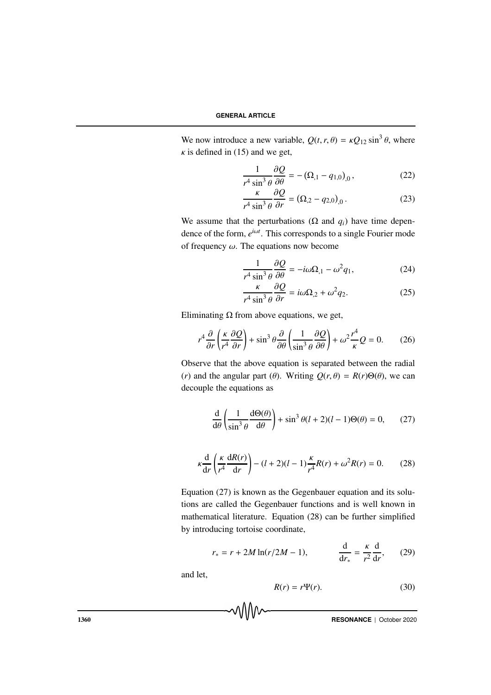We now introduce a new variable,  $Q(t, r, \theta) = \kappa Q_{12} \sin^3 \theta$ , where  $\kappa$  is defined in (15) and we get,

$$
\frac{1}{r^4 \sin^3 \theta} \frac{\partial Q}{\partial \theta} = -(\Omega_{,1} - q_{1,0})_{,0},\tag{22}
$$

$$
\frac{\kappa}{r^4 \sin^3 \theta} \frac{\partial Q}{\partial r} = (\Omega_{,2} - q_{2,0})_{,0} \,. \tag{23}
$$

We assume that the perturbations ( $\Omega$  and  $q_i$ ) have time dependence of the form,  $e^{i\omega t}$ . This corresponds to a single Fourier mode of frequency  $\omega$ . The equations now become

$$
\frac{1}{r^4 \sin^3 \theta} \frac{\partial Q}{\partial \theta} = -i\omega \Omega_{,1} - \omega^2 q_1,\tag{24}
$$

$$
\frac{\kappa}{r^4 \sin^3 \theta} \frac{\partial Q}{\partial r} = i\omega \Omega_{,2} + \omega^2 q_2.
$$
 (25)

Eliminating  $\Omega$  from above equations, we get,

$$
r^4 \frac{\partial}{\partial r} \left( \frac{\kappa}{r^4} \frac{\partial Q}{\partial r} \right) + \sin^3 \theta \frac{\partial}{\partial \theta} \left( \frac{1}{\sin^3 \theta} \frac{\partial Q}{\partial \theta} \right) + \omega^2 \frac{r^4}{\kappa} Q = 0. \tag{26}
$$

Observe that the above equation is separated between the radial (*r*) and the angular part ( $\theta$ ). Writing  $Q(r, \theta) = R(r)\Theta(\theta)$ , we can decouple the equations as

$$
\frac{d}{d\theta} \left( \frac{1}{\sin^3 \theta} \frac{d\Theta(\theta)}{d\theta} \right) + \sin^3 \theta (l+2)(l-1)\Theta(\theta) = 0, \qquad (27)
$$

$$
\kappa \frac{\mathrm{d}}{\mathrm{d}r} \left( \frac{\kappa}{r^4} \frac{\mathrm{d}R(r)}{\mathrm{d}r} \right) - (l+2)(l-1) \frac{\kappa}{r^4} R(r) + \omega^2 R(r) = 0. \tag{28}
$$

Equation (27) is known as the Gegenbauer equation and its solutions are called the Gegenbauer functions and is well known in mathematical literature. Equation (28) can be further simplified by introducing tortoise coordinate,

$$
r_* = r + 2M \ln(r/2M - 1),
$$
  $\frac{d}{dr_*} = \frac{\kappa}{r^2} \frac{d}{dr},$  (29)

and let,

$$
R(r) = r\Psi(r). \tag{30}
$$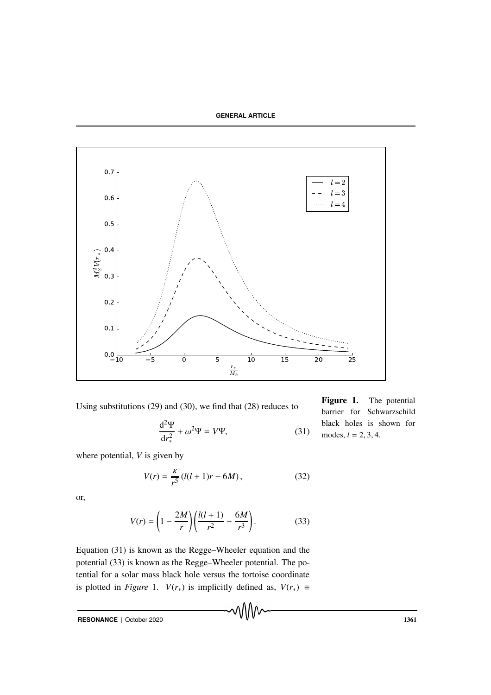

Using substitutions (29) and (30), we find that (28) reduces to

$$
\frac{\mathrm{d}^2 \Psi}{\mathrm{d}r_*^2} + \omega^2 \Psi = V\Psi,\tag{31}
$$

Figure 1. The potential barrier for Schwarzschild black holes is shown for modes, *l* = 2, 3, 4.

where potential, *V* is given by

$$
V(r) = \frac{\kappa}{r^5} \left( l(l+1)r - 6M \right),\tag{32}
$$

or,

$$
V(r) = \left(1 - \frac{2M}{r}\right) \left(\frac{l(l+1)}{r^2} - \frac{6M}{r^3}\right).
$$
 (33)

Equation (31) is known as the Regge–Wheeler equation and the potential (33) is known as the Regge–Wheeler potential. The potential for a solar mass black hole versus the tortoise coordinate is plotted in *Figure* 1. *V*( $r$ <sub>∗</sub>) is implicitly defined as, *V*( $r$ <sub>∗</sub>) ≡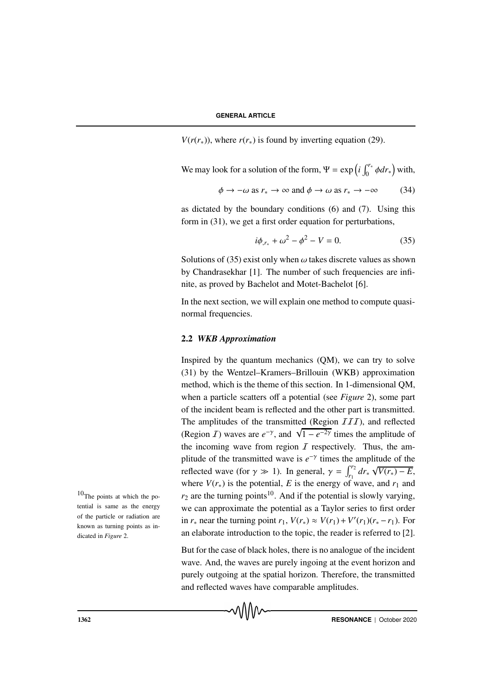*V*( $r(r_*)$ ), where  $r(r_*)$  is found by inverting equation (29).

We may look for a solution of the form, 
$$
\Psi = \exp\left(i \int_0^{r_*} \phi dr_*\right)
$$
 with,

$$
\phi \to -\omega \text{ as } r_* \to \infty \text{ and } \phi \to \omega \text{ as } r_* \to -\infty \tag{34}
$$

as dictated by the boundary conditions (6) and (7). Using this form in (31), we get a first order equation for perturbations,

$$
i\phi_{,r_*} + \omega^2 - \phi^2 - V = 0. \tag{35}
$$

Solutions of (35) exist only when  $\omega$  takes discrete values as shown by Chandrasekhar [1]. The number of such frequencies are infinite, as proved by Bachelot and Motet-Bachelot [6].

In the next section, we will explain one method to compute quasinormal frequencies.

#### 2.2 *WKB Approximation*

Inspired by the quantum mechanics (QM), we can try to solve (31) by the Wentzel–Kramers–Brillouin (WKB) approximation method, which is the theme of this section. In 1-dimensional QM, when a particle scatters off a potential (see *Figure* 2), some part of the incident beam is reflected and the other part is transmitted. The amplitudes of the transmitted (Region  $III$ ), and reflected (Region *I*) waves are  $e^{-\gamma}$ , and  $\sqrt{1 - e^{-2\gamma}}$  times the amplitude of the incoming wave from region  $I$  respectively. Thus, the amplitude of the transmitted wave is  $e^{-\gamma}$  times the amplitude of the reflected wave (for  $\gamma \gg 1$ ). In general,  $\gamma = \int_{r_1}^{r_2} dr_* \sqrt{V(r_*) - E}$ , where  $V(r_*)$  is the potential, E is the energy of wave, and  $r_1$  and <sup>10</sup>The points at which the po-  $r_2$  are the turning points<sup>10</sup>. And if the potential is slowly varying, we can approximate the potential as a Taylor series to first order in  $r_*$  near the turning point  $r_1$ ,  $V(r_*) \approx V(r_1) + V'(r_1)(r_* - r_1)$ . For an elaborate introduction to the topic, the reader is referred to [2].

> But for the case of black holes, there is no analogue of the incident wave. And, the waves are purely ingoing at the event horizon and purely outgoing at the spatial horizon. Therefore, the transmitted and reflected waves have comparable amplitudes.

tential is same as the energy of the particle or radiation are known as turning points as indicated in *Figure* 2.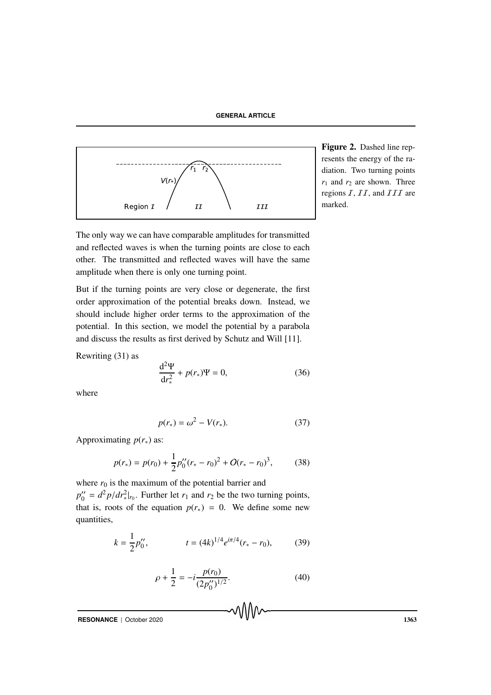**GENERAL ARTICLE**



Figure 2. Dashed line represents the energy of the radiation. Two turning points  $r_1$  and  $r_2$  are shown. Three regions  $I, II$ , and  $III$  are marked.

The only way we can have comparable amplitudes for transmitted and reflected waves is when the turning points are close to each other. The transmitted and reflected waves will have the same amplitude when there is only one turning point.

But if the turning points are very close or degenerate, the first order approximation of the potential breaks down. Instead, we should include higher order terms to the approximation of the potential. In this section, we model the potential by a parabola and discuss the results as first derived by Schutz and Will [11].

Rewriting (31) as

$$
\frac{d^2\Psi}{dr_*^2} + p(r_*)\Psi = 0,
$$
 (36)

where

$$
p(r_*) = \omega^2 - V(r_*). \tag{37}
$$

Approximating  $p(r_*)$  as:

$$
p(r_*) = p(r_0) + \frac{1}{2}p_0''(r_* - r_0)^2 + O(r_* - r_0)^3, \qquad (38)
$$

where  $r_0$  is the maximum of the potential barrier and *p*<sup>''</sup>  $\gamma_0'' = d^2 p/dr_*^2|_{r_0}$ . Further let  $r_1$  and  $r_2$  be the two turning points, that is, roots of the equation  $p(r_*) = 0$ . We define some new quantities,

$$
k = \frac{1}{2}p_0'', \qquad t = (4k)^{1/4}e^{i\pi/4}(r_* - r_0), \qquad (39)
$$

$$
\rho + \frac{1}{2} = -i \frac{p(r_0)}{(2p_0'')^{1/2}}.
$$
\n(40)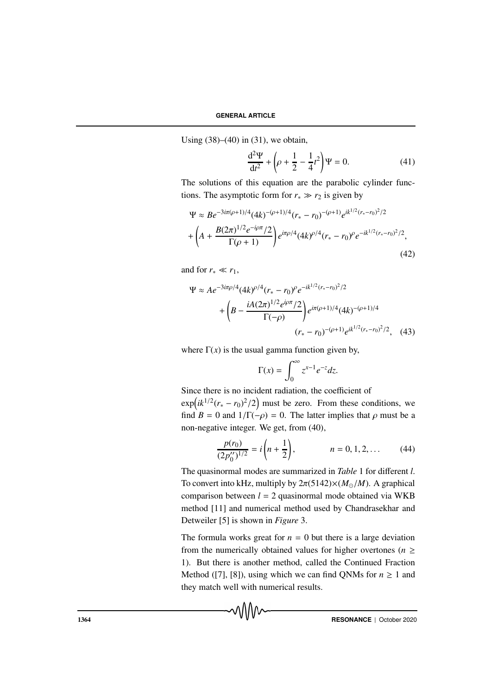Using  $(38)–(40)$  in  $(31)$ , we obtain,

$$
\frac{d^2\Psi}{dt^2} + \left(\rho + \frac{1}{2} - \frac{1}{4}t^2\right)\Psi = 0.
$$
 (41)

The solutions of this equation are the parabolic cylinder functions. The asymptotic form for  $r_* \gg r_2$  is given by

$$
\Psi \approx Be^{-3i\pi(\rho+1)/4}(4k)^{-(\rho+1)/4}(r_*-r_0)^{-(\rho+1)}e^{ik^{1/2}(r_*-r_0)^2/2}
$$

$$
+\left(A+\frac{B(2\pi)^{1/2}e^{-i\rho\pi}/2}{\Gamma(\rho+1)}\right)e^{i\pi\rho/4}(4k)^{\rho/4}(r_*-r_0)^{\rho}e^{-ik^{1/2}(r_*-r_0)^2/2},\tag{42}
$$

and for  $r_* \ll r_1$ ,

$$
\Psi \approx A e^{-3i\pi\rho/4} (4k)^{\rho/4} (r_* - r_0)^{\rho} e^{-ik^{1/2}(r_* - r_0)^2/2} \n+ \left( B - \frac{iA(2\pi)^{1/2} e^{i\rho\pi}/2}{\Gamma(-\rho)} \right) e^{i\pi(\rho+1)/4} (4k)^{-(\rho+1)/4} \n(r_* - r_0)^{-(\rho+1)} e^{ik^{1/2}(r_* - r_0)^2/2}, \quad (43)
$$

where  $\Gamma(x)$  is the usual gamma function given by,

$$
\Gamma(x) = \int_0^\infty z^{x-1} e^{-z} dz.
$$

Since there is no incident radiation, the coefficient of  $\exp\left(ik^{1/2}(r_{*}-r_{0})^{2}/2\right)$  must be zero. From these conditions, we find  $B = 0$  and  $1/\Gamma(-\rho) = 0$ . The latter implies that  $\rho$  must be a non-negative integer. We get, from (40),

$$
\frac{p(r_0)}{(2p''_0)^{1/2}} = i\left(n + \frac{1}{2}\right), \qquad n = 0, 1, 2, \dots \qquad (44)
$$

The quasinormal modes are summarized in *Table* 1 for different *l*. To convert into kHz, multiply by  $2\pi(5142)\times (M_{\odot}/M)$ . A graphical comparison between *l* = 2 quasinormal mode obtained via WKB method [11] and numerical method used by Chandrasekhar and Detweiler [5] is shown in *Figure* 3.

The formula works great for  $n = 0$  but there is a large deviation from the numerically obtained values for higher overtones ( $n \geq$ 1). But there is another method, called the Continued Fraction Method ([7], [8]), using which we can find QNMs for  $n \geq 1$  and they match well with numerical results.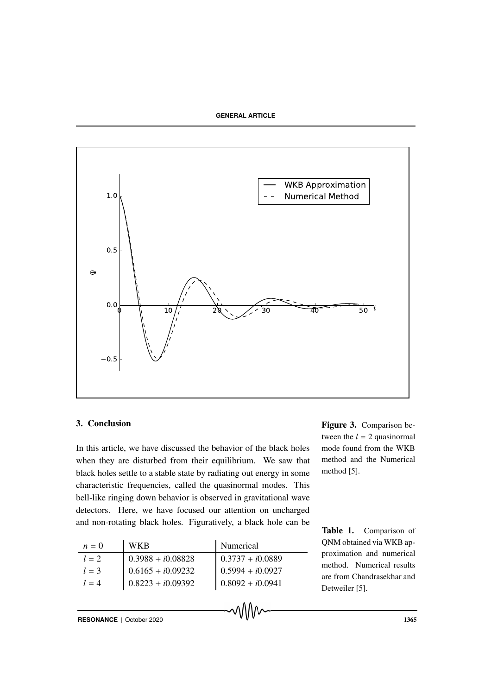

## 3. Conclusion

In this article, we have discussed the behavior of the black holes when they are disturbed from their equilibrium. We saw that black holes settle to a stable state by radiating out energy in some characteristic frequencies, called the quasinormal modes. This bell-like ringing down behavior is observed in gravitational wave detectors. Here, we have focused our attention on uncharged and non-rotating black holes. Figuratively, a black hole can be

| $n=0$   | <b>WKB</b>          | Numerical          |
|---------|---------------------|--------------------|
| $l=2$   | $0.3988 + i0.08828$ | $0.3737 + i0.0889$ |
| $l = 3$ | $0.6165 + i0.09232$ | $0.5994 + i0.0927$ |
| $l = 4$ | $0.8223 + i0.09392$ | $0.8092 + i0.0941$ |

Figure 3. Comparison between the  $l = 2$  quasinormal mode found from the WKB method and the Numerical method [5].

Table 1. Comparison of QNM obtained via WKB approximation and numerical method. Numerical results are from Chandrasekhar and Detweiler [5].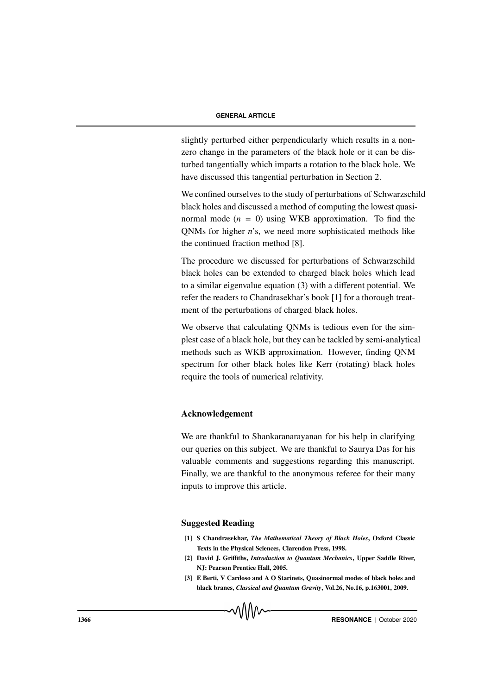slightly perturbed either perpendicularly which results in a nonzero change in the parameters of the black hole or it can be disturbed tangentially which imparts a rotation to the black hole. We have discussed this tangential perturbation in Section 2.

We confined ourselves to the study of perturbations of Schwarzschild black holes and discussed a method of computing the lowest quasinormal mode  $(n = 0)$  using WKB approximation. To find the QNMs for higher *n*'s, we need more sophisticated methods like the continued fraction method [8].

The procedure we discussed for perturbations of Schwarzschild black holes can be extended to charged black holes which lead to a similar eigenvalue equation (3) with a different potential. We refer the readers to Chandrasekhar's book [1] for a thorough treatment of the perturbations of charged black holes.

We observe that calculating QNMs is tedious even for the simplest case of a black hole, but they can be tackled by semi-analytical methods such as WKB approximation. However, finding QNM spectrum for other black holes like Kerr (rotating) black holes require the tools of numerical relativity.

#### Acknowledgement

We are thankful to Shankaranarayanan for his help in clarifying our queries on this subject. We are thankful to Saurya Das for his valuable comments and suggestions regarding this manuscript. Finally, we are thankful to the anonymous referee for their many inputs to improve this article.

#### Suggested Reading

- [1] S Chandrasekhar, *The Mathematical Theory of Black Holes*, Oxford Classic Texts in the Physical Sciences, Clarendon Press, 1998.
- [2] David J. Griffiths, *Introduction to Quantum Mechanics*, Upper Saddle River, NJ: Pearson Prentice Hall, 2005.
- [3] E Berti, V Cardoso and A O Starinets, Quasinormal modes of black holes and black branes, *Classical and Quantum Gravity*, Vol.26, No.16, p.163001, 2009.